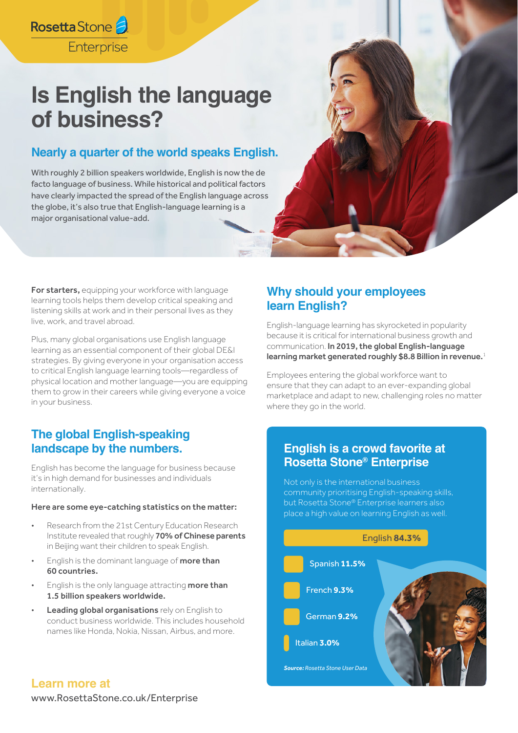## Rosetta Stone Enterprise

# **Is English the language of business?**

### **Nearly a quarter of the world speaks English.**

With roughly 2 billion speakers worldwide, English is now the de facto language of business. While historical and political factors have clearly impacted the spread of the English language across the globe, it's also true that English-language learning is a major organisational value-add.

For starters, equipping your workforce with language learning tools helps them develop critical speaking and listening skills at work and in their personal lives as they live, work, and travel abroad.

Plus, many global organisations use English language learning as an essential component of their global DE&I strategies. By giving everyone in your organisation access to critical English language learning tools—regardless of physical location and mother language—you are equipping them to grow in their careers while giving everyone a voice in your business.

### **The global English-speaking landscape by the numbers.**

English has become the language for business because it's in high demand for businesses and individuals internationally.

#### Here are some eye-catching statistics on the matter:

- Research from the 21st Century Education Research Institute revealed that roughly 70% of Chinese parents in Beijing want their children to speak English.
- English is the dominant language of more than 60 countries.
- English is the only language attracting more than 1.5 billion speakers worldwide.
- Leading global organisations rely on English to conduct business worldwide. This includes household names like Honda, Nokia, Nissan, Airbus, and more.

### **Why should your employees learn English?**

English-language learning has skyrocketed in popularity because it is critical for international business growth and communication. In 2019, the global English-language learning market generated roughly \$8.8 Billion in revenue.<sup>1</sup>

Employees entering the global workforce want to ensure that they can adapt to an ever-expanding global marketplace and adapt to new, challenging roles no matter where they go in the world.

### **English is a crowd favorite at Rosetta Stone® Enterprise**

Not only is the international business community prioritising English-speaking skills, but Rosetta Stone® Enterprise learners also place a high value on learning English as well.



### **Learn more at**

[www.RosettaStone.co.uk/Enterprise](https://www.rosettastone.co.uk/enterprise/home/)